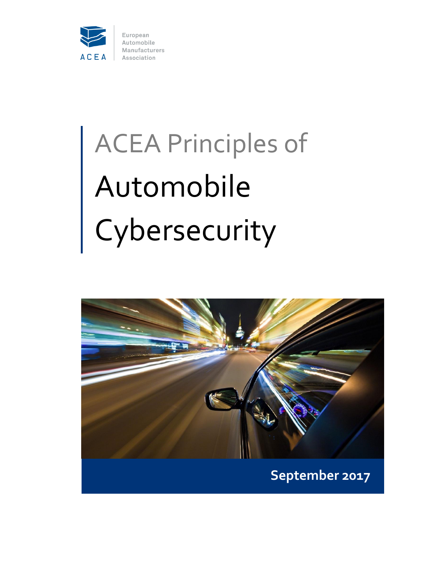

# ACEA Principles of Automobile Cybersecurity

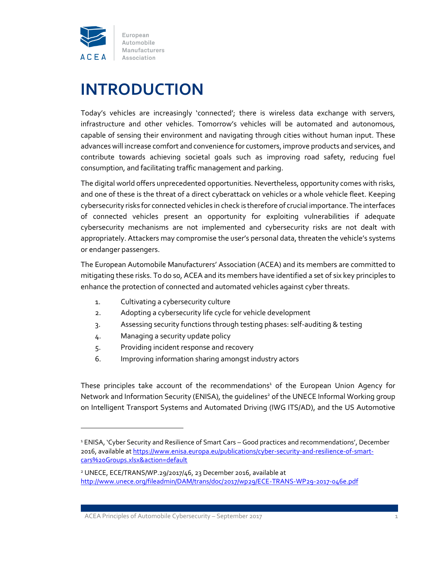

## **INTRODUCTION**

Today's vehicles are increasingly 'connected'; there is wireless data exchange with servers, infrastructure and other vehicles. Tomorrow's vehicles will be automated and autonomous, capable of sensing their environment and navigating through cities without human input. These advances will increase comfort and convenience for customers, improve products and services, and contribute towards achieving societal goals such as improving road safety, reducing fuel consumption, and facilitating traffic management and parking.

The digital world offers unprecedented opportunities. Nevertheless, opportunity comes with risks, and one of these is the threat of a direct cyberattack on vehicles or a whole vehicle fleet. Keeping cybersecurity risks for connected vehicles in check is therefore of crucial importance. The interfaces of connected vehicles present an opportunity for exploiting vulnerabilities if adequate cybersecurity mechanisms are not implemented and cybersecurity risks are not dealt with appropriately. Attackers may compromise the user's personal data, threaten the vehicle's systems or endanger passengers.

The European Automobile Manufacturers' Association (ACEA) and its members are committed to mitigating these risks. To do so, ACEA and its members have identified a set of six key principles to enhance the protection of connected and automated vehicles against cyber threats.

- 1. Cultivating a cybersecurity culture
- 2. Adopting a cybersecurity life cycle for vehicle development
- 3. Assessing security functions through testing phases: self-auditing & testing
- 4. Managing a security update policy

 $\overline{\phantom{a}}$ 

- 5. Providing incident response and recovery
- 6. Improving information sharing amongst industry actors

These principles take account of the recommendations<sup>1</sup> of the European Union Agency for Network and Information Security (ENISA), the quidelines<sup>2</sup> of the UNECE Informal Working group on Intelligent Transport Systems and Automated Driving (IWG ITS/AD), and the US Automotive

<sup>&</sup>lt;sup>1</sup> ENISA, 'Cyber Security and Resilience of Smart Cars – Good practices and recommendations', December 2016, available at [https://www.enisa.europa.eu/publications/cyber-security-and-resilience-of-smart](https://www.enisa.europa.eu/publications/cyber-security-and-resilience-of-smart-cars%20Groups.xlsx&action=default)[cars%20Groups.xlsx&action=default](https://www.enisa.europa.eu/publications/cyber-security-and-resilience-of-smart-cars%20Groups.xlsx&action=default)

<sup>2</sup> UNECE, ECE/TRANS/WP.29/2017/46, 23 December 2016, available at <http://www.unece.org/fileadmin/DAM/trans/doc/2017/wp29/ECE-TRANS-WP29-2017-046e.pdf>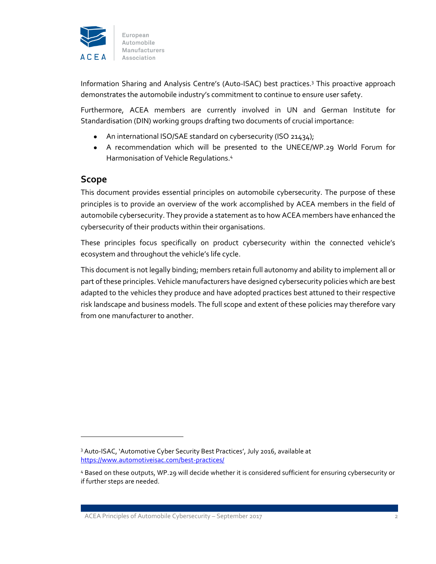

Information Sharing and Analysis Centre's (Auto-ISAC) best practices.<sup>3</sup> This proactive approach demonstrates the automobile industry's commitment to continue to ensure user safety.

Furthermore, ACEA members are currently involved in UN and German Institute for Standardisation (DIN) working groups drafting two documents of crucial importance:

- An international ISO/SAE standard on cybersecurity (ISO 21434);
- A recommendation which will be presented to the UNECE/WP.29 World Forum for Harmonisation of Vehicle Regulations.<sup>4</sup>

#### **Scope**

 $\overline{a}$ 

This document provides essential principles on automobile cybersecurity. The purpose of these principles is to provide an overview of the work accomplished by ACEA members in the field of automobile cybersecurity. They provide a statement as to how ACEA members have enhanced the cybersecurity of their products within their organisations.

These principles focus specifically on product cybersecurity within the connected vehicle's ecosystem and throughout the vehicle's life cycle.

This document is not legally binding; members retain full autonomy and ability to implement all or part of these principles. Vehicle manufacturers have designed cybersecurity policies which are best adapted to the vehicles they produce and have adopted practices best attuned to their respective risk landscape and business models. The full scope and extent of these policies may therefore vary from one manufacturer to another.

<sup>3</sup> Auto-ISAC, 'Automotive Cyber Security Best Practices', July 2016, available at <https://www.automotiveisac.com/best-practices/>

<sup>4</sup> Based on these outputs, WP.29 will decide whether it is considered sufficient for ensuring cybersecurity or if further steps are needed.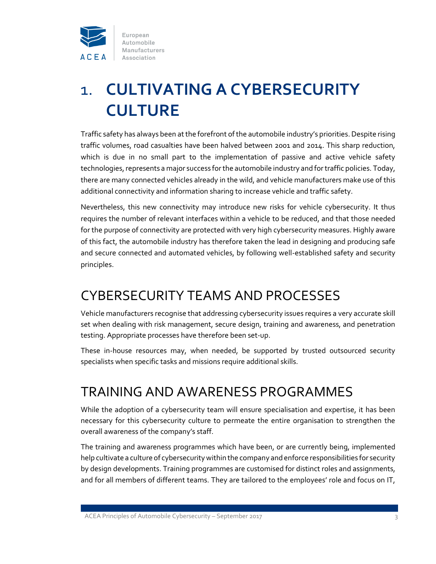

# 1. **CULTIVATING A CYBERSECURITY CULTURE**

Traffic safety has always been at the forefront of the automobile industry's priorities. Despite rising traffic volumes, road casualties have been halved between 2001 and 2014. This sharp reduction, which is due in no small part to the implementation of passive and active vehicle safety technologies, represents a major success for the automobile industry and for traffic policies. Today, there are many connected vehicles already in the wild, and vehicle manufacturers make use of this additional connectivity and information sharing to increase vehicle and traffic safety.

Nevertheless, this new connectivity may introduce new risks for vehicle cybersecurity. It thus requires the number of relevant interfaces within a vehicle to be reduced, and that those needed for the purpose of connectivity are protected with very high cybersecurity measures. Highly aware of this fact, the automobile industry has therefore taken the lead in designing and producing safe and secure connected and automated vehicles, by following well-established safety and security principles.

## CYBERSECURITY TEAMS AND PROCESSES

Vehicle manufacturers recognise that addressing cybersecurity issues requires a very accurate skill set when dealing with risk management, secure design, training and awareness, and penetration testing. Appropriate processes have therefore been set-up.

These in-house resources may, when needed, be supported by trusted outsourced security specialists when specific tasks and missions require additional skills.

## TRAINING AND AWARENESS PROGRAMMES

While the adoption of a cybersecurity team will ensure specialisation and expertise, it has been necessary for this cybersecurity culture to permeate the entire organisation to strengthen the overall awareness of the company's staff.

The training and awareness programmes which have been, or are currently being, implemented help cultivate a culture of cybersecurity within the company and enforce responsibilities for security by design developments. Training programmes are customised for distinct roles and assignments, and for all members of different teams. They are tailored to the employees' role and focus on IT,

ACEA Principles of Automobile Cybersecurity – September 2017 3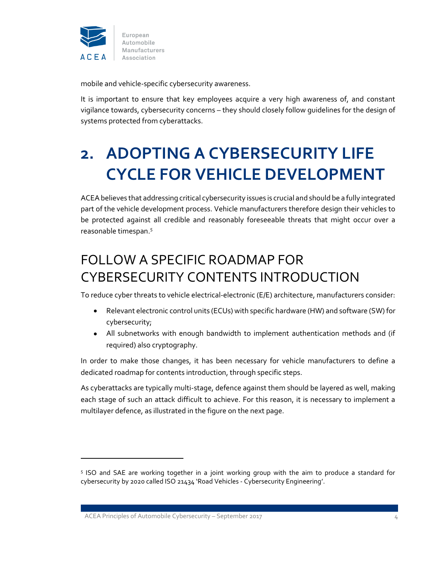

mobile and vehicle-specific cybersecurity awareness.

It is important to ensure that key employees acquire a very high awareness of, and constant vigilance towards, cybersecurity concerns – they should closely follow guidelines for the design of systems protected from cyberattacks.

# **2. ADOPTING A CYBERSECURITY LIFE CYCLE FOR VEHICLE DEVELOPMENT**

ACEA believes that addressing critical cybersecurity issues is crucial and should be a fully integrated part of the vehicle development process. Vehicle manufacturers therefore design their vehicles to be protected against all credible and reasonably foreseeable threats that might occur over a reasonable timespan.<sup>5</sup>

## FOLLOW A SPECIFIC ROADMAP FOR CYBERSECURITY CONTENTS INTRODUCTION

To reduce cyber threats to vehicle electrical-electronic (E/E) architecture, manufacturers consider:

- Relevant electronic control units (ECUs) with specific hardware (HW) and software (SW) for cybersecurity;
- All subnetworks with enough bandwidth to implement authentication methods and (if required) also cryptography.

In order to make those changes, it has been necessary for vehicle manufacturers to define a dedicated roadmap for contents introduction, through specific steps.

As cyberattacks are typically multi-stage, defence against them should be layered as well, making each stage of such an attack difficult to achieve. For this reason, it is necessary to implement a multilayer defence, as illustrated in the figure on the next page.

ACEA Principles of Automobile Cybersecurity – September 2017 4

 $\overline{a}$ 

<sup>5</sup> ISO and SAE are working together in a joint working group with the aim to produce a standard for cybersecurity by 2020 called ISO 21434 'Road Vehicles - Cybersecurity Engineering'.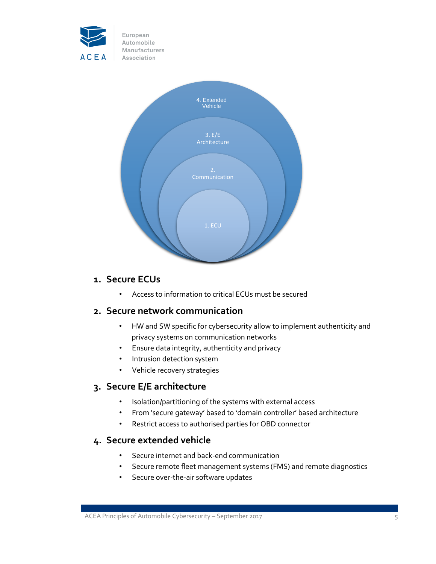



## **1. Secure ECUs**

• Access to information to critical ECUs must be secured

#### **2. Secure network communication**

- HW and SW specific for cybersecurity allow to implement authenticity and privacy systems on communication networks
- Ensure data integrity, authenticity and privacy
- Intrusion detection system
- Vehicle recovery strategies

#### **3. Secure E/E architecture**

- Isolation/partitioning of the systems with external access
- From 'secure gateway' based to 'domain controller' based architecture
- Restrict access to authorised parties for OBD connector

#### **4. Secure extended vehicle**

- Secure internet and back-end communication
- Secure remote fleet management systems (FMS) and remote diagnostics
- Secure over-the-air software updates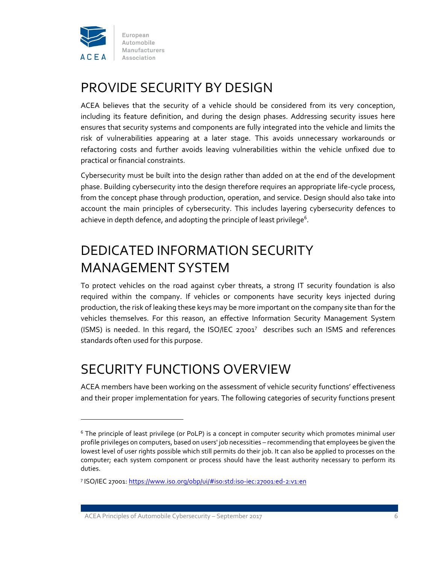

## PROVIDE SECURITY BY DESIGN

ACEA believes that the security of a vehicle should be considered from its very conception, including its feature definition, and during the design phases. Addressing security issues here ensures that security systems and components are fully integrated into the vehicle and limits the risk of vulnerabilities appearing at a later stage. This avoids unnecessary workarounds or refactoring costs and further avoids leaving vulnerabilities within the vehicle unfixed due to practical or financial constraints.

Cybersecurity must be built into the design rather than added on at the end of the development phase. Building cybersecurity into the design therefore requires an appropriate life-cycle process, from the concept phase through production, operation, and service. Design should also take into account the main principles of cybersecurity. This includes layering cybersecurity defences to achieve in depth defence, and adopting the principle of least privilege<sup>6</sup>.

## DEDICATED INFORMATION SECURITY MANAGEMENT SYSTEM

To protect vehicles on the road against cyber threats, a strong IT security foundation is also required within the company. If vehicles or components have security keys injected during production, the risk of leaking these keys may be more important on the company site than for the vehicles themselves. For this reason, an effective Information Security Management System (ISMS) is needed. In this regard, the ISO/IEC  $27001^7$  describes such an ISMS and references standards often used for this purpose.

## SECURITY FUNCTIONS OVERVIEW

ACEA members have been working on the assessment of vehicle security functions' effectiveness and their proper implementation for years. The following categories of security functions present

 $\overline{a}$ 

<sup>&</sup>lt;sup>6</sup> The principle of least privilege (or PoLP) is a concept in computer security which promotes minimal user profile privileges on computers, based on users' job necessities – recommending that employees be given the lowest level of user rights possible which still permits do their job. It can also be applied to processes on the computer; each system component or process should have the least authority necessary to perform its duties.

<sup>&</sup>lt;sup>7</sup> ISO/IEC 27001: <u>https://www.iso.org/obp/ui/#iso:std:iso-iec:27001:ed-2:v1:en</u>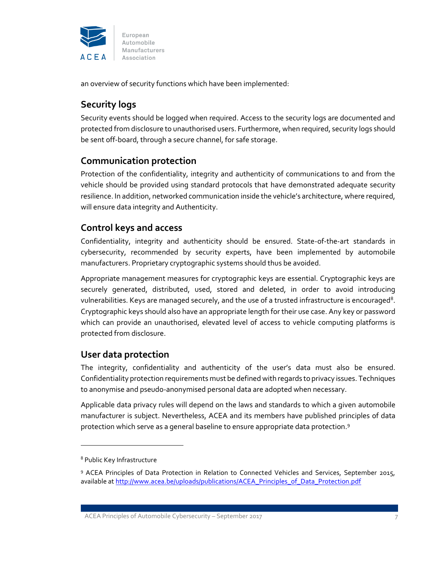

an overview of security functions which have been implemented:

## **Security logs**

Security events should be logged when required. Access to the security logs are documented and protected from disclosure to unauthorised users. Furthermore, when required, security logs should be sent off-board, through a secure channel, for safe storage.

#### **Communication protection**

Protection of the confidentiality, integrity and authenticity of communications to and from the vehicle should be provided using standard protocols that have demonstrated adequate security resilience. In addition, networked communication inside the vehicle's architecture, where required, will ensure data integrity and Authenticity.

### **Control keys and access**

Confidentiality, integrity and authenticity should be ensured. State-of-the-art standards in cybersecurity, recommended by security experts, have been implemented by automobile manufacturers. Proprietary cryptographic systems should thus be avoided.

Appropriate management measures for cryptographic keys are essential. Cryptographic keys are securely generated, distributed, used, stored and deleted, in order to avoid introducing vulnerabilities. Keys are managed securely, and the use of a trusted infrastructure is encouraged $^8$ . Cryptographic keys should also have an appropriate length for their use case. Any key or password which can provide an unauthorised, elevated level of access to vehicle computing platforms is protected from disclosure.

#### **User data protection**

The integrity, confidentiality and authenticity of the user's data must also be ensured. Confidentiality protection requirements must be defined with regards to privacy issues. Techniques to anonymise and pseudo-anonymised personal data are adopted when necessary.

Applicable data privacy rules will depend on the laws and standards to which a given automobile manufacturer is subject. Nevertheless, ACEA and its members have published principles of data protection which serve as a general baseline to ensure appropriate data protection.<sup>9</sup>

 $\overline{a}$ 

<sup>8</sup> Public Key Infrastructure

<sup>&</sup>lt;sup>9</sup> ACEA Principles of Data Protection in Relation to Connected Vehicles and Services, September 2015, available a[t http://www.acea.be/uploads/publications/ACEA\\_Principles\\_of\\_Data\\_Protection.pdf](http://www.acea.be/uploads/publications/ACEA_Principles_of_Data_Protection.pdf)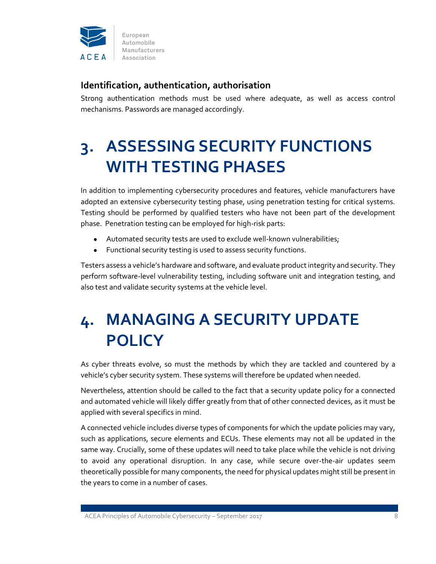

## **Identification, authentication, authorisation**

Strong authentication methods must be used where adequate, as well as access control mechanisms. Passwords are managed accordingly.

# **3. ASSESSING SECURITY FUNCTIONS WITH TESTING PHASES**

In addition to implementing cybersecurity procedures and features, vehicle manufacturers have adopted an extensive cybersecurity testing phase, using penetration testing for critical systems. Testing should be performed by qualified testers who have not been part of the development phase. Penetration testing can be employed for high-risk parts:

- Automated security tests are used to exclude well-known vulnerabilities;
- Functional security testing is used to assess security functions.

Testers assess a vehicle's hardware and software, and evaluate product integrity and security. They perform software-level vulnerability testing, including software unit and integration testing, and also test and validate security systems at the vehicle level.

# **4. MANAGING A SECURITY UPDATE POLICY**

As cyber threats evolve, so must the methods by which they are tackled and countered by a vehicle's cyber security system. These systems will therefore be updated when needed.

Nevertheless, attention should be called to the fact that a security update policy for a connected and automated vehicle will likely differ greatly from that of other connected devices, as it must be applied with several specifics in mind.

A connected vehicle includes diverse types of components for which the update policies may vary, such as applications, secure elements and ECUs. These elements may not all be updated in the same way. Crucially, some of these updates will need to take place while the vehicle is not driving to avoid any operational disruption. In any case, while secure over-the-air updates seem theoretically possible for many components, the need for physical updates might still be present in the years to come in a number of cases.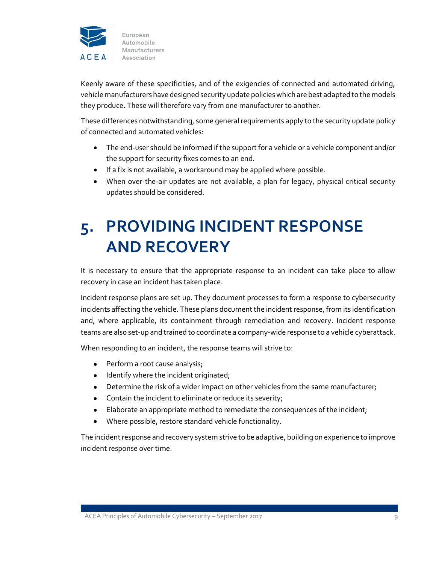

Keenly aware of these specificities, and of the exigencies of connected and automated driving, vehicle manufacturers have designed security update policies which are best adapted to the models they produce. These will therefore vary from one manufacturer to another.

These differences notwithstanding, some general requirements apply to the security update policy of connected and automated vehicles:

- The end-user should be informed if the support for a vehicle or a vehicle component and/or the support for security fixes comes to an end.
- If a fix is not available, a workaround may be applied where possible.
- When over-the-air updates are not available, a plan for legacy, physical critical security updates should be considered.

# **5. PROVIDING INCIDENT RESPONSE AND RECOVERY**

It is necessary to ensure that the appropriate response to an incident can take place to allow recovery in case an incident has taken place.

Incident response plans are set up. They document processes to form a response to cybersecurity incidents affecting the vehicle. These plans document the incident response, from its identification and, where applicable, its containment through remediation and recovery. Incident response teams are also set-up and trained to coordinate a company-wide response to a vehicle cyberattack.

When responding to an incident, the response teams will strive to:

- Perform a root cause analysis;
- Identify where the incident originated;
- Determine the risk of a wider impact on other vehicles from the same manufacturer;
- Contain the incident to eliminate or reduce its severity;
- Elaborate an appropriate method to remediate the consequences of the incident;
- Where possible, restore standard vehicle functionality.

The incident response and recovery system strive to be adaptive, building on experience to improve incident response over time.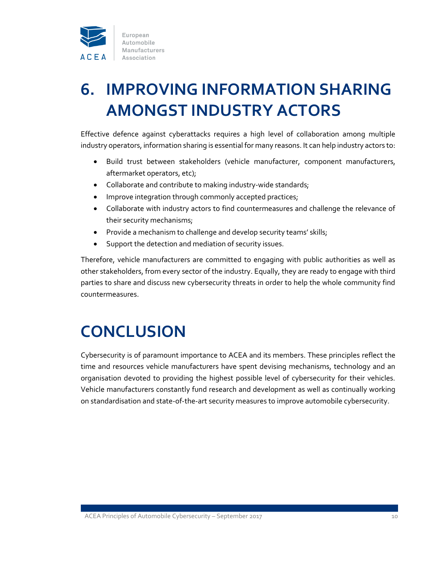

# **6. IMPROVING INFORMATION SHARING AMONGST INDUSTRY ACTORS**

Effective defence against cyberattacks requires a high level of collaboration among multiple industry operators, information sharing is essential for many reasons. It can help industry actors to:

- Build trust between stakeholders (vehicle manufacturer, component manufacturers, aftermarket operators, etc);
- Collaborate and contribute to making industry-wide standards;
- Improve integration through commonly accepted practices;
- Collaborate with industry actors to find countermeasures and challenge the relevance of their security mechanisms;
- Provide a mechanism to challenge and develop security teams' skills;
- Support the detection and mediation of security issues.

Therefore, vehicle manufacturers are committed to engaging with public authorities as well as other stakeholders, from every sector of the industry. Equally, they are ready to engage with third parties to share and discuss new cybersecurity threats in order to help the whole community find countermeasures.

# **CONCLUSION**

Cybersecurity is of paramount importance to ACEA and its members. These principles reflect the time and resources vehicle manufacturers have spent devising mechanisms, technology and an organisation devoted to providing the highest possible level of cybersecurity for their vehicles. Vehicle manufacturers constantly fund research and development as well as continually working on standardisation and state-of-the-art security measures to improve automobile cybersecurity.